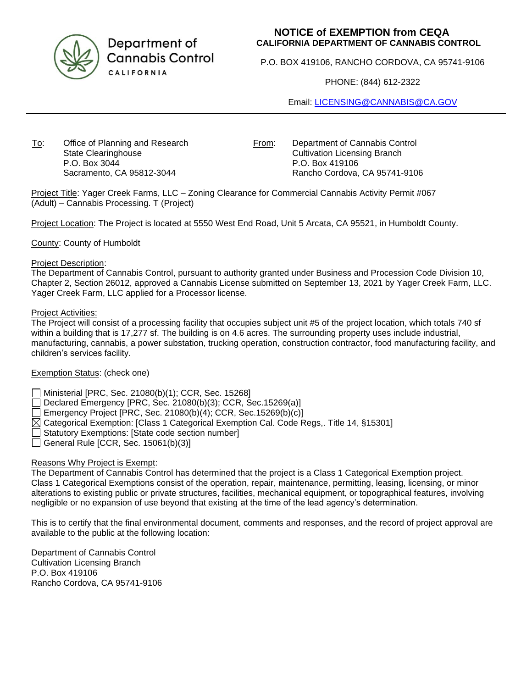

Department of **Cannabis Control** CALIFORNIA

# **NOTICE of EXEMPTION from CEQA CALIFORNIA DEPARTMENT OF CANNABIS CONTROL**

P.O. BOX 419106, RANCHO CORDOVA, CA 95741-9106

PHONE: (844) 612-2322

Email: [LICENSING@CANNABIS@CA.GOV](mailto:LICENSING@CANNABIS@CA.GOV)

To: Office of Planning and Research State Clearinghouse P.O. Box 3044 Sacramento, CA 95812-3044

From: Department of Cannabis Control Cultivation Licensing Branch P.O. Box 419106 Rancho Cordova, CA 95741-9106

Project Title: Yager Creek Farms, LLC – Zoning Clearance for Commercial Cannabis Activity Permit #067 (Adult) – Cannabis Processing. T (Project)

Project Location: The Project is located at 5550 West End Road, Unit 5 Arcata, CA 95521, in Humboldt County.

County: County of Humboldt

#### Project Description:

The Department of Cannabis Control, pursuant to authority granted under Business and Procession Code Division 10, Chapter 2, Section 26012, approved a Cannabis License submitted on September 13, 2021 by Yager Creek Farm, LLC. Yager Creek Farm, LLC applied for a Processor license.

#### Project Activities:

The Project will consist of a processing facility that occupies subject unit #5 of the project location, which totals 740 sf within a building that is 17,277 sf. The building is on 4.6 acres. The surrounding property uses include industrial, manufacturing, cannabis, a power substation, trucking operation, construction contractor, food manufacturing facility, and children's services facility.

### Exemption Status: (check one)

Ministerial [PRC, Sec. 21080(b)(1); CCR, Sec. 15268]

Declared Emergency [PRC, Sec. 21080(b)(3); CCR, Sec.15269(a)]

Emergency Project [PRC, Sec. 21080(b)(4); CCR, Sec.15269(b)(c)]

 $\boxtimes$  Categorical Exemption: [Class 1 Categorical Exemption Cal. Code Regs,. Title 14, §15301]

Statutory Exemptions: [State code section number]

General Rule [CCR, Sec. 15061(b)(3)]

### Reasons Why Project is Exempt:

The Department of Cannabis Control has determined that the project is a Class 1 Categorical Exemption project. Class 1 Categorical Exemptions consist of the operation, repair, maintenance, permitting, leasing, licensing, or minor alterations to existing public or private structures, facilities, mechanical equipment, or topographical features, involving negligible or no expansion of use beyond that existing at the time of the lead agency's determination.

This is to certify that the final environmental document, comments and responses, and the record of project approval are available to the public at the following location:

Department of Cannabis Control Cultivation Licensing Branch P.O. Box 419106 Rancho Cordova, CA 95741-9106